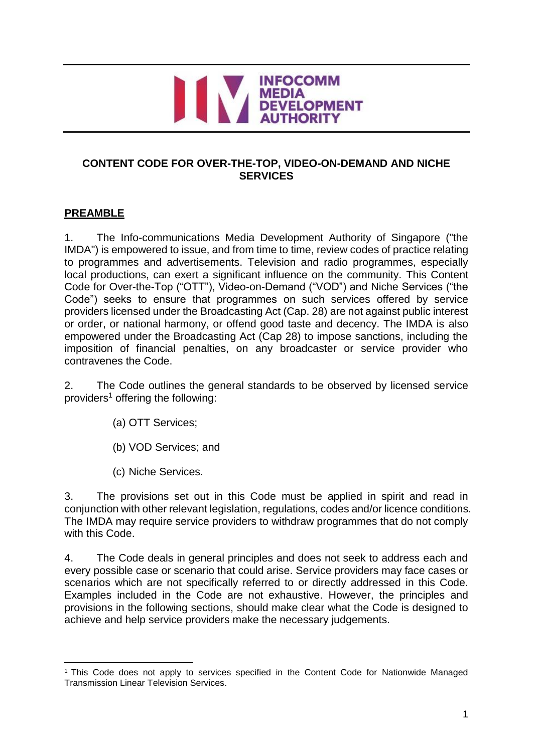# INFOCOMM<br>MEDIA<br>DEVELOPMENT

# **CONTENT CODE FOR OVER-THE-TOP, VIDEO-ON-DEMAND AND NICHE SERVICES**

# **PREAMBLE**

1. The Info-communications Media Development Authority of Singapore ("the IMDA") is empowered to issue, and from time to time, review codes of practice relating to programmes and advertisements. Television and radio programmes, especially local productions, can exert a significant influence on the community. This Content Code for Over-the-Top ("OTT"), Video-on-Demand ("VOD") and Niche Services ("the Code") seeks to ensure that programmes on such services offered by service providers licensed under the Broadcasting Act (Cap. 28) are not against public interest or order, or national harmony, or offend good taste and decency. The IMDA is also empowered under the Broadcasting Act (Cap 28) to impose sanctions, including the imposition of financial penalties, on any broadcaster or service provider who contravenes the Code.

2. The Code outlines the general standards to be observed by licensed service providers<sup>1</sup> offering the following:

- (a) OTT Services;
- (b) VOD Services; and
- (c) Niche Services.

3. The provisions set out in this Code must be applied in spirit and read in conjunction with other relevant legislation, regulations, codes and/or licence conditions. The IMDA may require service providers to withdraw programmes that do not comply with this Code.

4. The Code deals in general principles and does not seek to address each and every possible case or scenario that could arise. Service providers may face cases or scenarios which are not specifically referred to or directly addressed in this Code. Examples included in the Code are not exhaustive. However, the principles and provisions in the following sections, should make clear what the Code is designed to achieve and help service providers make the necessary judgements.

<sup>-</sup><sup>1</sup> This Code does not apply to services specified in the Content Code for Nationwide Managed Transmission Linear Television Services.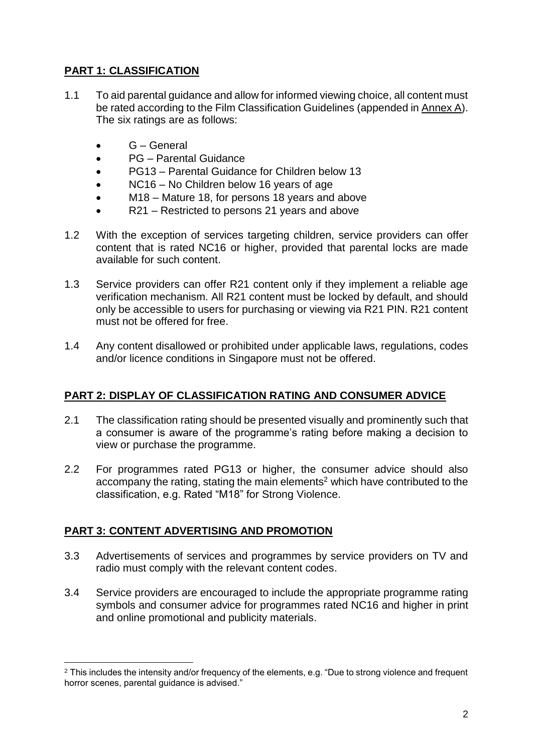# **PART 1: CLASSIFICATION**

- 1.1 To aid parental guidance and allow for informed viewing choice, all content must be rated according to the Film Classification Guidelines (appended in Annex A). The six ratings are as follows:
	- G General
	- PG Parental Guidance
	- PG13 Parental Guidance for Children below 13
	- NC16 No Children below 16 years of age
	- M18 Mature 18, for persons 18 years and above
	- R21 Restricted to persons 21 years and above
- 1.2 With the exception of services targeting children, service providers can offer content that is rated NC16 or higher, provided that parental locks are made available for such content.
- 1.3 Service providers can offer R21 content only if they implement a reliable age verification mechanism. All R21 content must be locked by default, and should only be accessible to users for purchasing or viewing via R21 PIN. R21 content must not be offered for free.
- 1.4 Any content disallowed or prohibited under applicable laws, regulations, codes and/or licence conditions in Singapore must not be offered.

# **PART 2: DISPLAY OF CLASSIFICATION RATING AND CONSUMER ADVICE**

- 2.1 The classification rating should be presented visually and prominently such that a consumer is aware of the programme's rating before making a decision to view or purchase the programme.
- 2.2 For programmes rated PG13 or higher, the consumer advice should also accompany the rating, stating the main elements<sup>2</sup> which have contributed to the classification, e.g. Rated "M18" for Strong Violence.

# **PART 3: CONTENT ADVERTISING AND PROMOTION**

- 3.3 Advertisements of services and programmes by service providers on TV and radio must comply with the relevant content codes.
- 3.4 Service providers are encouraged to include the appropriate programme rating symbols and consumer advice for programmes rated NC16 and higher in print and online promotional and publicity materials.

<sup>-</sup><sup>2</sup> This includes the intensity and/or frequency of the elements, e.g. "Due to strong violence and frequent horror scenes, parental guidance is advised."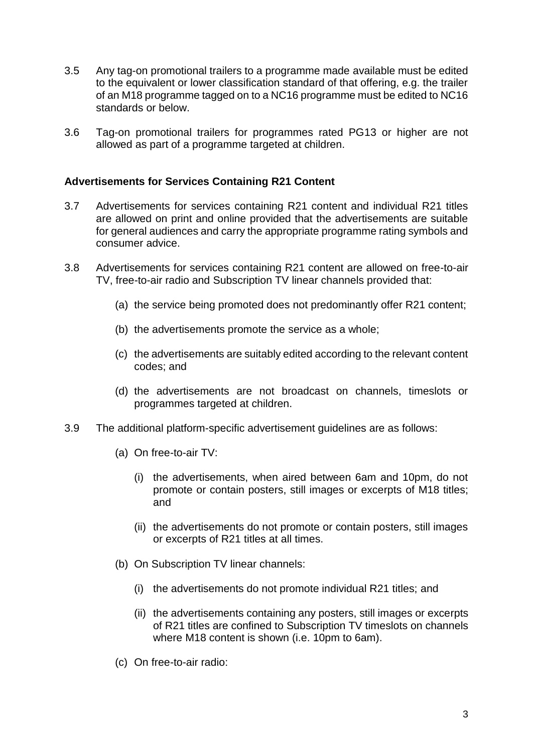- 3.5 Any tag-on promotional trailers to a programme made available must be edited to the equivalent or lower classification standard of that offering, e.g. the trailer of an M18 programme tagged on to a NC16 programme must be edited to NC16 standards or below.
- 3.6 Tag-on promotional trailers for programmes rated PG13 or higher are not allowed as part of a programme targeted at children.

#### **Advertisements for Services Containing R21 Content**

- 3.7 Advertisements for services containing R21 content and individual R21 titles are allowed on print and online provided that the advertisements are suitable for general audiences and carry the appropriate programme rating symbols and consumer advice.
- 3.8 Advertisements for services containing R21 content are allowed on free-to-air TV, free-to-air radio and Subscription TV linear channels provided that:
	- (a) the service being promoted does not predominantly offer R21 content;
	- (b) the advertisements promote the service as a whole;
	- (c) the advertisements are suitably edited according to the relevant content codes; and
	- (d) the advertisements are not broadcast on channels, timeslots or programmes targeted at children.
- 3.9 The additional platform-specific advertisement guidelines are as follows:
	- (a) On free-to-air TV:
		- (i) the advertisements, when aired between 6am and 10pm, do not promote or contain posters, still images or excerpts of M18 titles; and
		- (ii) the advertisements do not promote or contain posters, still images or excerpts of R21 titles at all times.
	- (b) On Subscription TV linear channels:
		- (i) the advertisements do not promote individual R21 titles; and
		- (ii) the advertisements containing any posters, still images or excerpts of R21 titles are confined to Subscription TV timeslots on channels where M18 content is shown (i.e. 10pm to 6am).
	- (c) On free-to-air radio: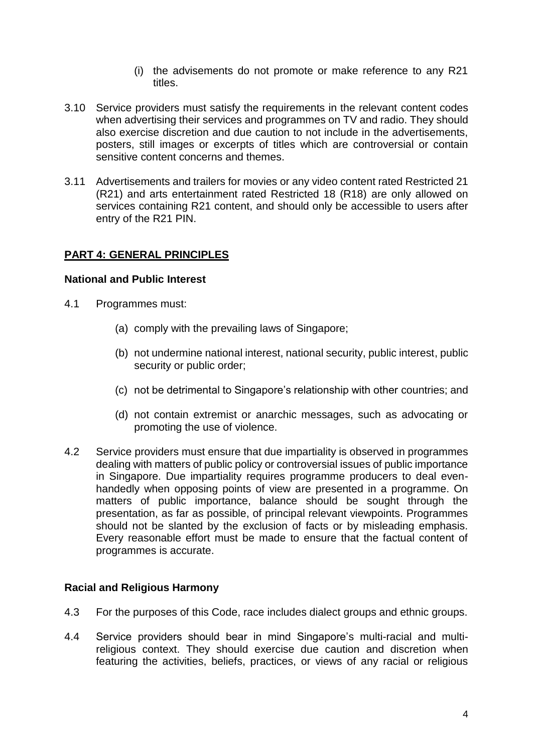- (i) the advisements do not promote or make reference to any R21 titles.
- 3.10 Service providers must satisfy the requirements in the relevant content codes when advertising their services and programmes on TV and radio. They should also exercise discretion and due caution to not include in the advertisements, posters, still images or excerpts of titles which are controversial or contain sensitive content concerns and themes.
- 3.11 Advertisements and trailers for movies or any video content rated Restricted 21 (R21) and arts entertainment rated Restricted 18 (R18) are only allowed on services containing R21 content, and should only be accessible to users after entry of the R21 PIN.

# **PART 4: GENERAL PRINCIPLES**

#### **National and Public Interest**

- 4.1 Programmes must:
	- (a) comply with the prevailing laws of Singapore;
	- (b) not undermine national interest, national security, public interest, public security or public order;
	- (c) not be detrimental to Singapore's relationship with other countries; and
	- (d) not contain extremist or anarchic messages, such as advocating or promoting the use of violence.
- 4.2 Service providers must ensure that due impartiality is observed in programmes dealing with matters of public policy or controversial issues of public importance in Singapore. Due impartiality requires programme producers to deal evenhandedly when opposing points of view are presented in a programme. On matters of public importance, balance should be sought through the presentation, as far as possible, of principal relevant viewpoints. Programmes should not be slanted by the exclusion of facts or by misleading emphasis. Every reasonable effort must be made to ensure that the factual content of programmes is accurate.

# **Racial and Religious Harmony**

- 4.3 For the purposes of this Code, race includes dialect groups and ethnic groups.
- 4.4 Service providers should bear in mind Singapore's multi-racial and multireligious context. They should exercise due caution and discretion when featuring the activities, beliefs, practices, or views of any racial or religious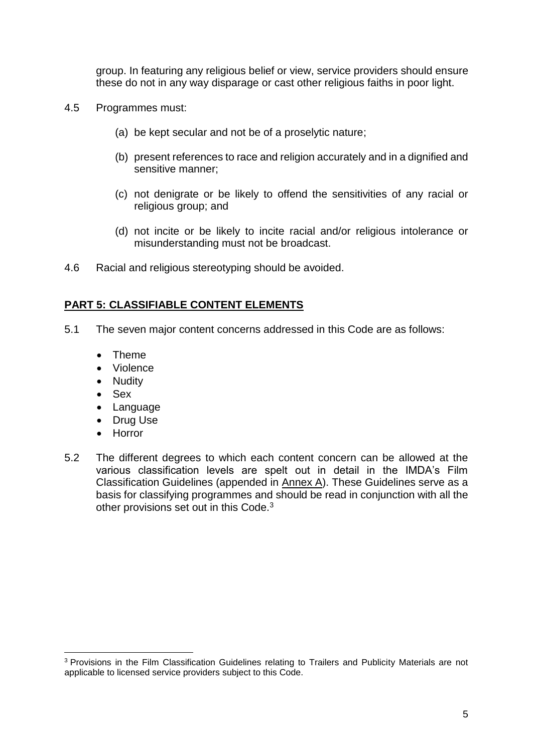group. In featuring any religious belief or view, service providers should ensure these do not in any way disparage or cast other religious faiths in poor light.

- 4.5 Programmes must:
	- (a) be kept secular and not be of a proselytic nature;
	- (b) present references to race and religion accurately and in a dignified and sensitive manner;
	- (c) not denigrate or be likely to offend the sensitivities of any racial or religious group; and
	- (d) not incite or be likely to incite racial and/or religious intolerance or misunderstanding must not be broadcast.
- 4.6 Racial and religious stereotyping should be avoided.

#### **PART 5: CLASSIFIABLE CONTENT ELEMENTS**

- 5.1 The seven major content concerns addressed in this Code are as follows:
	- Theme
	- Violence
	- Nudity
	- Sex
	- Language
	- Drug Use
	- Horror

-

5.2 The different degrees to which each content concern can be allowed at the various classification levels are spelt out in detail in the IMDA's Film Classification Guidelines (appended in Annex A). These Guidelines serve as a basis for classifying programmes and should be read in conjunction with all the other provisions set out in this Code.<sup>3</sup>

<sup>3</sup> Provisions in the Film Classification Guidelines relating to Trailers and Publicity Materials are not applicable to licensed service providers subject to this Code.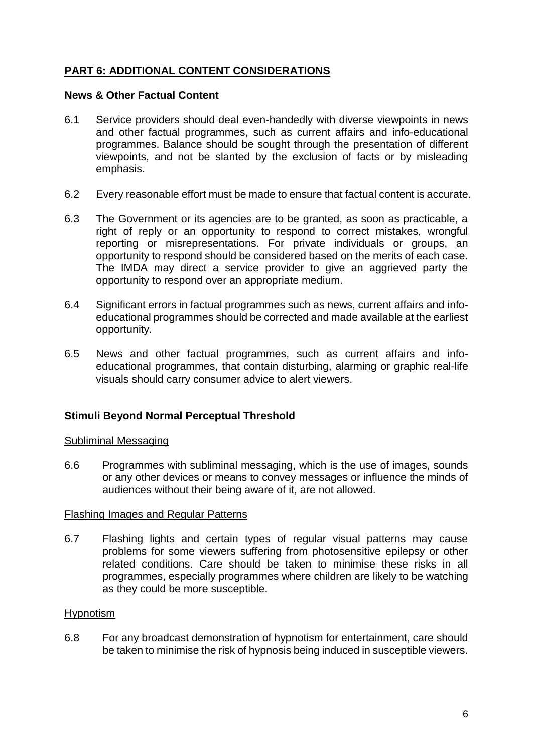# **PART 6: ADDITIONAL CONTENT CONSIDERATIONS**

#### **News & Other Factual Content**

- 6.1 Service providers should deal even-handedly with diverse viewpoints in news and other factual programmes, such as current affairs and info-educational programmes. Balance should be sought through the presentation of different viewpoints, and not be slanted by the exclusion of facts or by misleading emphasis.
- 6.2 Every reasonable effort must be made to ensure that factual content is accurate.
- 6.3 The Government or its agencies are to be granted, as soon as practicable, a right of reply or an opportunity to respond to correct mistakes, wrongful reporting or misrepresentations. For private individuals or groups, an opportunity to respond should be considered based on the merits of each case. The IMDA may direct a service provider to give an aggrieved party the opportunity to respond over an appropriate medium.
- 6.4 Significant errors in factual programmes such as news, current affairs and infoeducational programmes should be corrected and made available at the earliest opportunity.
- 6.5 News and other factual programmes, such as current affairs and infoeducational programmes, that contain disturbing, alarming or graphic real-life visuals should carry consumer advice to alert viewers.

#### **Stimuli Beyond Normal Perceptual Threshold**

#### Subliminal Messaging

6.6 Programmes with subliminal messaging, which is the use of images, sounds or any other devices or means to convey messages or influence the minds of audiences without their being aware of it, are not allowed.

#### Flashing Images and Regular Patterns

6.7 Flashing lights and certain types of regular visual patterns may cause problems for some viewers suffering from photosensitive epilepsy or other related conditions. Care should be taken to minimise these risks in all programmes, especially programmes where children are likely to be watching as they could be more susceptible.

#### Hypnotism

6.8 For any broadcast demonstration of hypnotism for entertainment, care should be taken to minimise the risk of hypnosis being induced in susceptible viewers.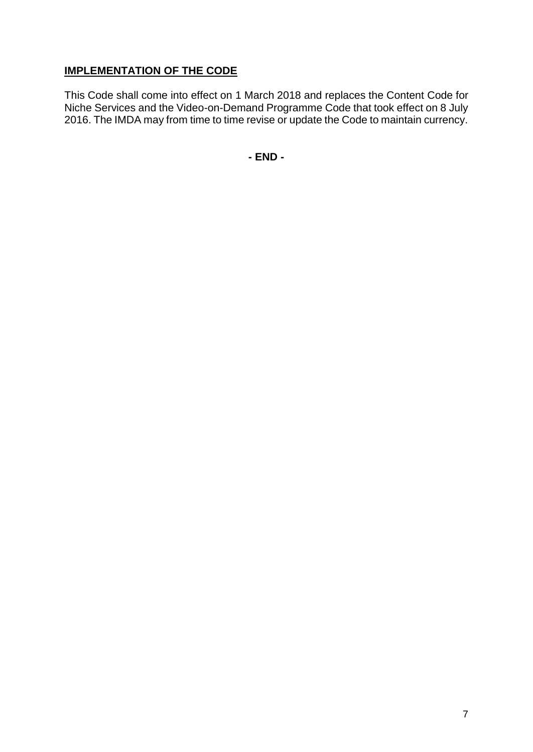# **IMPLEMENTATION OF THE CODE**

This Code shall come into effect on 1 March 2018 and replaces the Content Code for Niche Services and the Video-on-Demand Programme Code that took effect on 8 July 2016. The IMDA may from time to time revise or update the Code to maintain currency.

**- END -**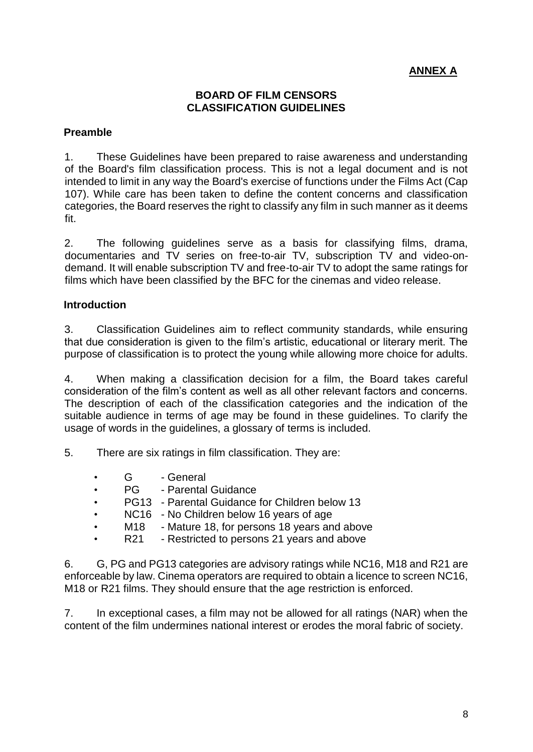# **ANNEX A**

#### **BOARD OF FILM CENSORS CLASSIFICATION GUIDELINES**

#### **Preamble**

1. These Guidelines have been prepared to raise awareness and understanding of the Board's film classification process. This is not a legal document and is not intended to limit in any way the Board's exercise of functions under the Films Act (Cap 107). While care has been taken to define the content concerns and classification categories, the Board reserves the right to classify any film in such manner as it deems fit.

2. The following guidelines serve as a basis for classifying films, drama, documentaries and TV series on free-to-air TV, subscription TV and video-ondemand. It will enable subscription TV and free-to-air TV to adopt the same ratings for films which have been classified by the BFC for the cinemas and video release.

#### **Introduction**

3. Classification Guidelines aim to reflect community standards, while ensuring that due consideration is given to the film's artistic, educational or literary merit. The purpose of classification is to protect the young while allowing more choice for adults.

4. When making a classification decision for a film, the Board takes careful consideration of the film's content as well as all other relevant factors and concerns. The description of each of the classification categories and the indication of the suitable audience in terms of age may be found in these guidelines. To clarify the usage of words in the guidelines, a glossary of terms is included.

5. There are six ratings in film classification. They are:

- G General
- PG Parental Guidance
- PG13 Parental Guidance for Children below 13
- NC16 No Children below 16 years of age
	- M18 Mature 18, for persons 18 years and above
- R21 Restricted to persons 21 years and above

6. G, PG and PG13 categories are advisory ratings while NC16, M18 and R21 are enforceable by law. Cinema operators are required to obtain a licence to screen NC16, M18 or R21 films. They should ensure that the age restriction is enforced.

7. In exceptional cases, a film may not be allowed for all ratings (NAR) when the content of the film undermines national interest or erodes the moral fabric of society.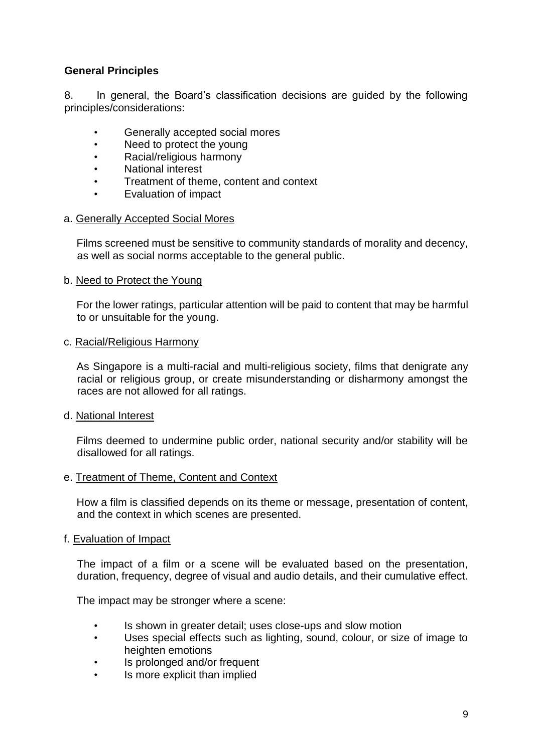# **General Principles**

8. In general, the Board's classification decisions are guided by the following principles/considerations:

- Generally accepted social mores
- Need to protect the young
- Racial/religious harmony
- National interest
- Treatment of theme, content and context
- Evaluation of impact

#### a. Generally Accepted Social Mores

Films screened must be sensitive to community standards of morality and decency, as well as social norms acceptable to the general public.

#### b. Need to Protect the Young

For the lower ratings, particular attention will be paid to content that may be harmful to or unsuitable for the young.

#### c. Racial/Religious Harmony

As Singapore is a multi-racial and multi-religious society, films that denigrate any racial or religious group, or create misunderstanding or disharmony amongst the races are not allowed for all ratings.

#### d. National Interest

Films deemed to undermine public order, national security and/or stability will be disallowed for all ratings.

#### e. Treatment of Theme, Content and Context

How a film is classified depends on its theme or message, presentation of content, and the context in which scenes are presented.

#### f. Evaluation of Impact

The impact of a film or a scene will be evaluated based on the presentation, duration, frequency, degree of visual and audio details, and their cumulative effect.

The impact may be stronger where a scene:

- Is shown in greater detail; uses close-ups and slow motion
- Uses special effects such as lighting, sound, colour, or size of image to heighten emotions
- Is prolonged and/or frequent
- Is more explicit than implied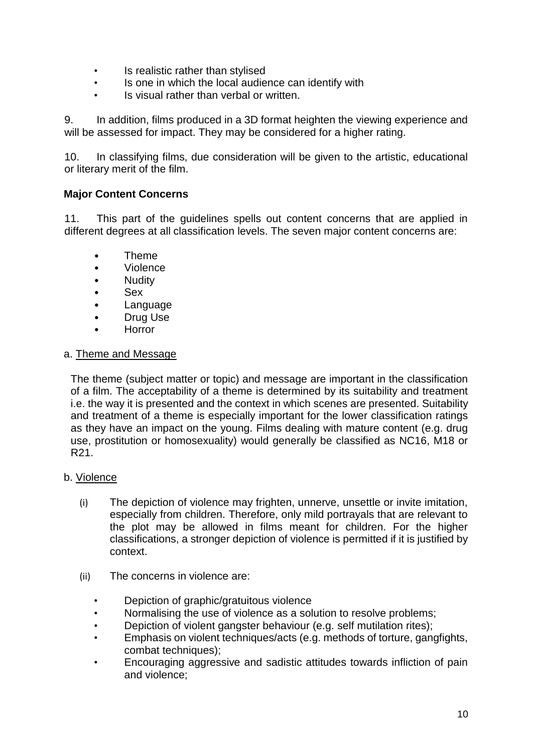- Is realistic rather than stylised
- Is one in which the local audience can identify with
- Is visual rather than verbal or written.

9. In addition, films produced in a 3D format heighten the viewing experience and will be assessed for impact. They may be considered for a higher rating.

10. In classifying films, due consideration will be given to the artistic, educational or literary merit of the film.

#### **Major Content Concerns**

11. This part of the guidelines spells out content concerns that are applied in different degrees at all classification levels. The seven major content concerns are:

- Theme
- Violence
- Nudity
- Sex
- Language
- Drug Use
- Horror

#### a. Theme and Message

The theme (subject matter or topic) and message are important in the classification of a film. The acceptability of a theme is determined by its suitability and treatment i.e. the way it is presented and the context in which scenes are presented. Suitability and treatment of a theme is especially important for the lower classification ratings as they have an impact on the young. Films dealing with mature content (e.g. drug use, prostitution or homosexuality) would generally be classified as NC16, M18 or R21.

#### b. Violence

- (i) The depiction of violence may frighten, unnerve, unsettle or invite imitation, especially from children. Therefore, only mild portrayals that are relevant to the plot may be allowed in films meant for children. For the higher classifications, a stronger depiction of violence is permitted if it is justified by context.
- (ii) The concerns in violence are:
	- Depiction of graphic/gratuitous violence
	- Normalising the use of violence as a solution to resolve problems;
	- Depiction of violent gangster behaviour (e.g. self mutilation rites);
	- Emphasis on violent techniques/acts (e.g. methods of torture, gangfights, combat techniques);
	- Encouraging aggressive and sadistic attitudes towards infliction of pain and violence;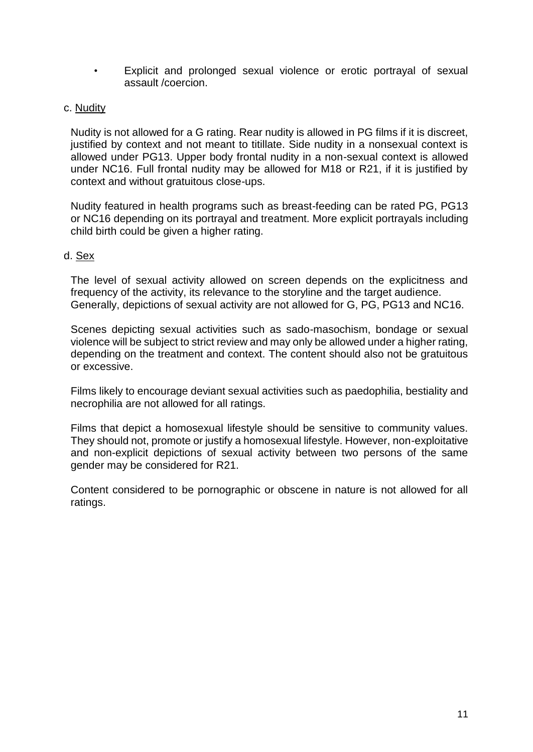• Explicit and prolonged sexual violence or erotic portrayal of sexual assault /coercion.

#### c. Nudity

Nudity is not allowed for a G rating. Rear nudity is allowed in PG films if it is discreet, justified by context and not meant to titillate. Side nudity in a nonsexual context is allowed under PG13. Upper body frontal nudity in a non-sexual context is allowed under NC16. Full frontal nudity may be allowed for M18 or R21, if it is justified by context and without gratuitous close-ups.

Nudity featured in health programs such as breast-feeding can be rated PG, PG13 or NC16 depending on its portrayal and treatment. More explicit portrayals including child birth could be given a higher rating.

#### d. Sex

The level of sexual activity allowed on screen depends on the explicitness and frequency of the activity, its relevance to the storyline and the target audience. Generally, depictions of sexual activity are not allowed for G, PG, PG13 and NC16.

Scenes depicting sexual activities such as sado-masochism, bondage or sexual violence will be subject to strict review and may only be allowed under a higher rating, depending on the treatment and context. The content should also not be gratuitous or excessive.

Films likely to encourage deviant sexual activities such as paedophilia, bestiality and necrophilia are not allowed for all ratings.

Films that depict a homosexual lifestyle should be sensitive to community values. They should not, promote or justify a homosexual lifestyle. However, non-exploitative and non-explicit depictions of sexual activity between two persons of the same gender may be considered for R21.

Content considered to be pornographic or obscene in nature is not allowed for all ratings.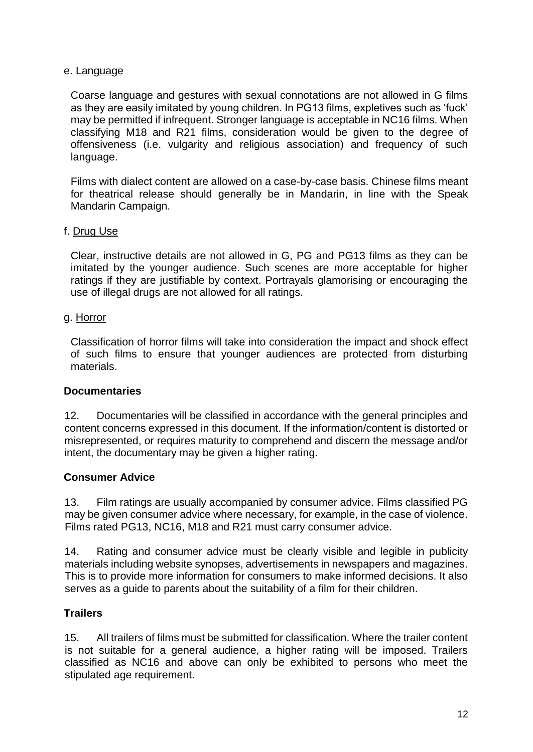#### e. Language

Coarse language and gestures with sexual connotations are not allowed in G films as they are easily imitated by young children. In PG13 films, expletives such as 'fuck' may be permitted if infrequent. Stronger language is acceptable in NC16 films. When classifying M18 and R21 films, consideration would be given to the degree of offensiveness (i.e. vulgarity and religious association) and frequency of such language.

Films with dialect content are allowed on a case-by-case basis. Chinese films meant for theatrical release should generally be in Mandarin, in line with the Speak Mandarin Campaign.

#### f. Drug Use

Clear, instructive details are not allowed in G, PG and PG13 films as they can be imitated by the younger audience. Such scenes are more acceptable for higher ratings if they are justifiable by context. Portrayals glamorising or encouraging the use of illegal drugs are not allowed for all ratings.

#### g. Horror

Classification of horror films will take into consideration the impact and shock effect of such films to ensure that younger audiences are protected from disturbing materials.

#### **Documentaries**

12. Documentaries will be classified in accordance with the general principles and content concerns expressed in this document. If the information/content is distorted or misrepresented, or requires maturity to comprehend and discern the message and/or intent, the documentary may be given a higher rating.

# **Consumer Advice**

13. Film ratings are usually accompanied by consumer advice. Films classified PG may be given consumer advice where necessary, for example, in the case of violence. Films rated PG13, NC16, M18 and R21 must carry consumer advice.

14. Rating and consumer advice must be clearly visible and legible in publicity materials including website synopses, advertisements in newspapers and magazines. This is to provide more information for consumers to make informed decisions. It also serves as a guide to parents about the suitability of a film for their children.

#### **Trailers**

15. All trailers of films must be submitted for classification. Where the trailer content is not suitable for a general audience, a higher rating will be imposed. Trailers classified as NC16 and above can only be exhibited to persons who meet the stipulated age requirement.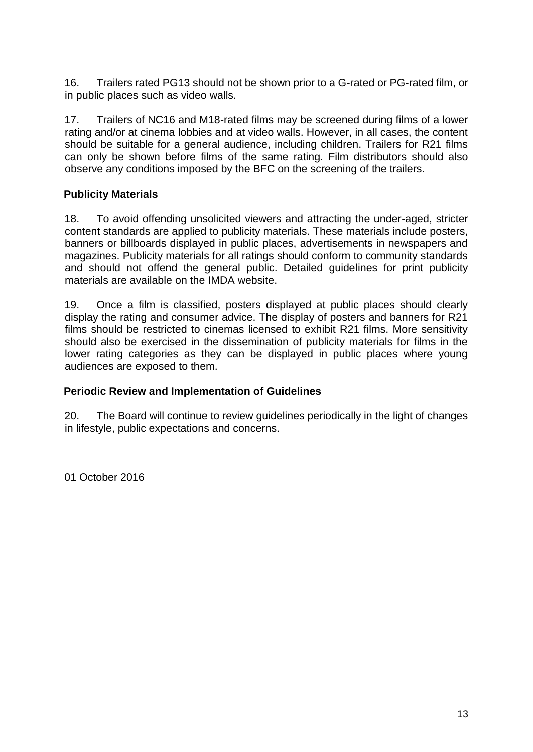16. Trailers rated PG13 should not be shown prior to a G-rated or PG-rated film, or in public places such as video walls.

17. Trailers of NC16 and M18-rated films may be screened during films of a lower rating and/or at cinema lobbies and at video walls. However, in all cases, the content should be suitable for a general audience, including children. Trailers for R21 films can only be shown before films of the same rating. Film distributors should also observe any conditions imposed by the BFC on the screening of the trailers.

# **Publicity Materials**

18. To avoid offending unsolicited viewers and attracting the under-aged, stricter content standards are applied to publicity materials. These materials include posters, banners or billboards displayed in public places, advertisements in newspapers and magazines. Publicity materials for all ratings should conform to community standards and should not offend the general public. Detailed guidelines for print publicity materials are available on the IMDA website.

19. Once a film is classified, posters displayed at public places should clearly display the rating and consumer advice. The display of posters and banners for R21 films should be restricted to cinemas licensed to exhibit R21 films. More sensitivity should also be exercised in the dissemination of publicity materials for films in the lower rating categories as they can be displayed in public places where young audiences are exposed to them.

# **Periodic Review and Implementation of Guidelines**

20. The Board will continue to review guidelines periodically in the light of changes in lifestyle, public expectations and concerns.

01 October 2016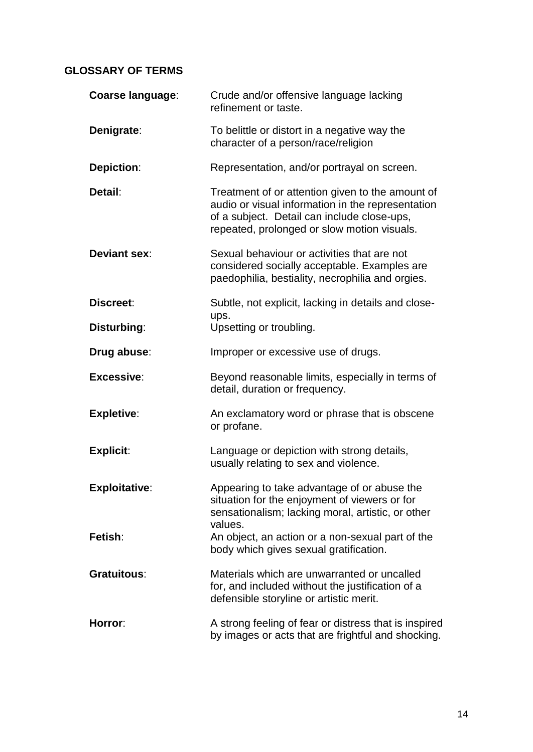# **GLOSSARY OF TERMS**

| <b>Coarse language:</b> | Crude and/or offensive language lacking<br>refinement or taste.                                                                                                                                     |
|-------------------------|-----------------------------------------------------------------------------------------------------------------------------------------------------------------------------------------------------|
| Denigrate:              | To belittle or distort in a negative way the<br>character of a person/race/religion                                                                                                                 |
| <b>Depiction:</b>       | Representation, and/or portrayal on screen.                                                                                                                                                         |
| Detail:                 | Treatment of or attention given to the amount of<br>audio or visual information in the representation<br>of a subject. Detail can include close-ups,<br>repeated, prolonged or slow motion visuals. |
| <b>Deviant sex:</b>     | Sexual behaviour or activities that are not<br>considered socially acceptable. Examples are<br>paedophilia, bestiality, necrophilia and orgies.                                                     |
| Discreet:               | Subtle, not explicit, lacking in details and close-                                                                                                                                                 |
| Disturbing:             | ups.<br>Upsetting or troubling.                                                                                                                                                                     |
| Drug abuse:             | Improper or excessive use of drugs.                                                                                                                                                                 |
| Excessive:              | Beyond reasonable limits, especially in terms of<br>detail, duration or frequency.                                                                                                                  |
| <b>Expletive:</b>       | An exclamatory word or phrase that is obscene<br>or profane.                                                                                                                                        |
| <b>Explicit:</b>        | Language or depiction with strong details,<br>usually relating to sex and violence.                                                                                                                 |
| <b>Exploitative:</b>    | Appearing to take advantage of or abuse the<br>situation for the enjoyment of viewers or for<br>sensationalism; lacking moral, artistic, or other<br>values.                                        |
| Fetish:                 | An object, an action or a non-sexual part of the<br>body which gives sexual gratification.                                                                                                          |
| <b>Gratuitous:</b>      | Materials which are unwarranted or uncalled<br>for, and included without the justification of a<br>defensible storyline or artistic merit.                                                          |
| Horror:                 | A strong feeling of fear or distress that is inspired<br>by images or acts that are frightful and shocking.                                                                                         |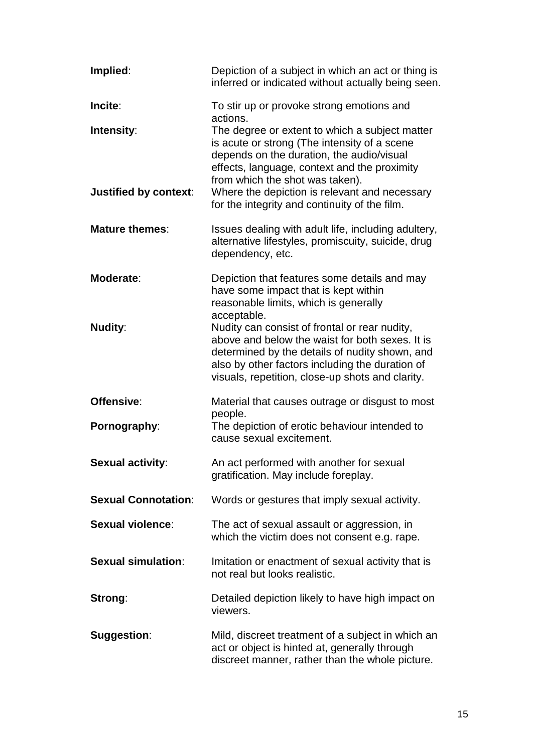| Implied:                   | Depiction of a subject in which an act or thing is<br>inferred or indicated without actually being seen.                                                                                                                                                  |
|----------------------------|-----------------------------------------------------------------------------------------------------------------------------------------------------------------------------------------------------------------------------------------------------------|
| Incite:                    | To stir up or provoke strong emotions and<br>actions.                                                                                                                                                                                                     |
| Intensity:                 | The degree or extent to which a subject matter<br>is acute or strong (The intensity of a scene<br>depends on the duration, the audio/visual<br>effects, language, context and the proximity<br>from which the shot was taken).                            |
| Justified by context:      | Where the depiction is relevant and necessary<br>for the integrity and continuity of the film.                                                                                                                                                            |
| <b>Mature themes:</b>      | Issues dealing with adult life, including adultery,<br>alternative lifestyles, promiscuity, suicide, drug<br>dependency, etc.                                                                                                                             |
| Moderate:                  | Depiction that features some details and may<br>have some impact that is kept within<br>reasonable limits, which is generally<br>acceptable.                                                                                                              |
| <b>Nudity:</b>             | Nudity can consist of frontal or rear nudity,<br>above and below the waist for both sexes. It is<br>determined by the details of nudity shown, and<br>also by other factors including the duration of<br>visuals, repetition, close-up shots and clarity. |
| Offensive:                 | Material that causes outrage or disgust to most                                                                                                                                                                                                           |
| Pornography:               | people.<br>The depiction of erotic behaviour intended to<br>cause sexual excitement.                                                                                                                                                                      |
| <b>Sexual activity:</b>    | An act performed with another for sexual<br>gratification. May include foreplay.                                                                                                                                                                          |
| <b>Sexual Connotation:</b> | Words or gestures that imply sexual activity.                                                                                                                                                                                                             |
| <b>Sexual violence:</b>    | The act of sexual assault or aggression, in<br>which the victim does not consent e.g. rape.                                                                                                                                                               |
| <b>Sexual simulation:</b>  | Imitation or enactment of sexual activity that is<br>not real but looks realistic.                                                                                                                                                                        |
| Strong:                    | Detailed depiction likely to have high impact on<br>viewers.                                                                                                                                                                                              |
| <b>Suggestion:</b>         | Mild, discreet treatment of a subject in which an<br>act or object is hinted at, generally through<br>discreet manner, rather than the whole picture.                                                                                                     |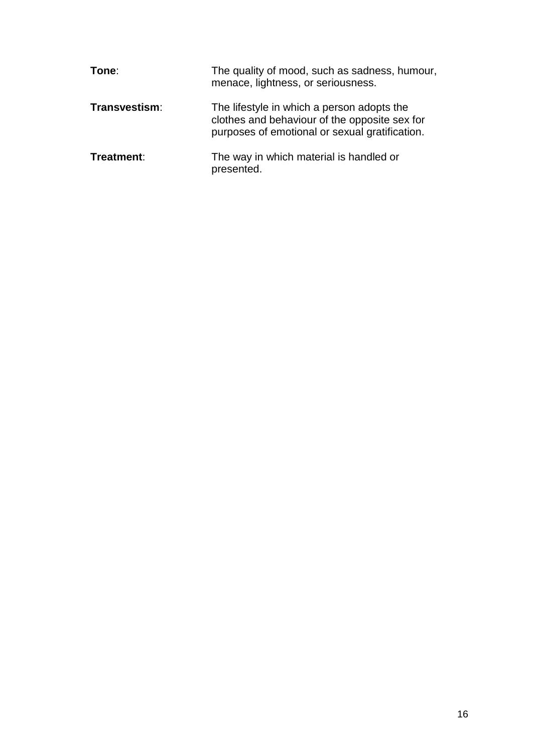| Tone:         | The quality of mood, such as sadness, humour,<br>menace, lightness, or seriousness.                                                           |
|---------------|-----------------------------------------------------------------------------------------------------------------------------------------------|
| Transvestism: | The lifestyle in which a person adopts the<br>clothes and behaviour of the opposite sex for<br>purposes of emotional or sexual gratification. |
| Treatment:    | The way in which material is handled or<br>presented.                                                                                         |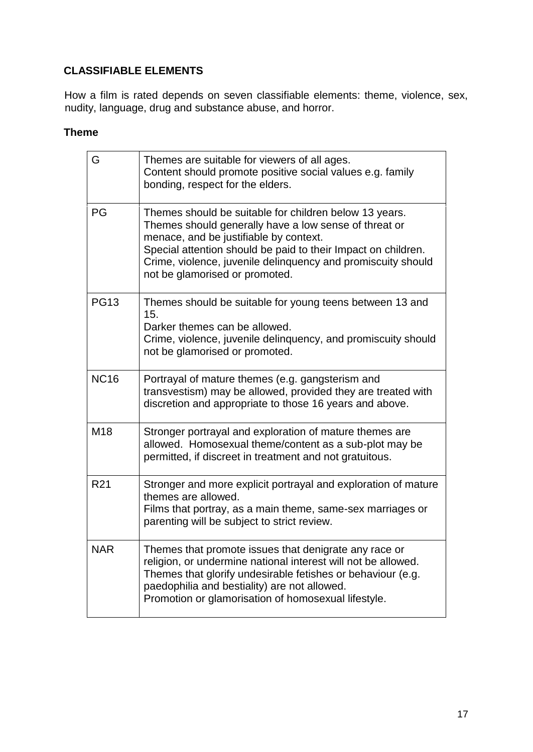# **CLASSIFIABLE ELEMENTS**

How a film is rated depends on seven classifiable elements: theme, violence, sex, nudity, language, drug and substance abuse, and horror.

#### **Theme**

| G               | Themes are suitable for viewers of all ages.<br>Content should promote positive social values e.g. family<br>bonding, respect for the elders.                                                                                                                                                                                |
|-----------------|------------------------------------------------------------------------------------------------------------------------------------------------------------------------------------------------------------------------------------------------------------------------------------------------------------------------------|
| PG              | Themes should be suitable for children below 13 years.<br>Themes should generally have a low sense of threat or<br>menace, and be justifiable by context.<br>Special attention should be paid to their Impact on children.<br>Crime, violence, juvenile delinquency and promiscuity should<br>not be glamorised or promoted. |
| <b>PG13</b>     | Themes should be suitable for young teens between 13 and<br>15.<br>Darker themes can be allowed.<br>Crime, violence, juvenile delinquency, and promiscuity should<br>not be glamorised or promoted.                                                                                                                          |
| <b>NC16</b>     | Portrayal of mature themes (e.g. gangsterism and<br>transvestism) may be allowed, provided they are treated with<br>discretion and appropriate to those 16 years and above.                                                                                                                                                  |
| M18             | Stronger portrayal and exploration of mature themes are<br>allowed. Homosexual theme/content as a sub-plot may be<br>permitted, if discreet in treatment and not gratuitous.                                                                                                                                                 |
| R <sub>21</sub> | Stronger and more explicit portrayal and exploration of mature<br>themes are allowed.<br>Films that portray, as a main theme, same-sex marriages or<br>parenting will be subject to strict review.                                                                                                                           |
| <b>NAR</b>      | Themes that promote issues that denigrate any race or<br>religion, or undermine national interest will not be allowed.<br>Themes that glorify undesirable fetishes or behaviour (e.g.<br>paedophilia and bestiality) are not allowed.<br>Promotion or glamorisation of homosexual lifestyle.                                 |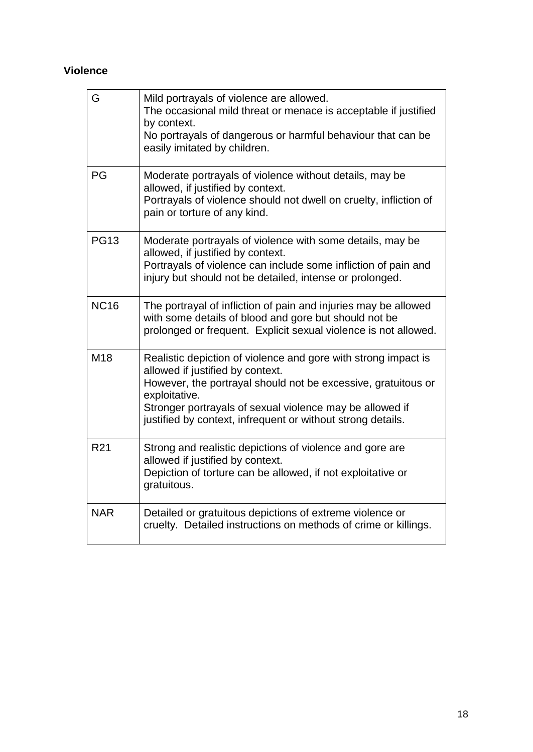# **Violence**

| G               | Mild portrayals of violence are allowed.<br>The occasional mild threat or menace is acceptable if justified<br>by context.<br>No portrayals of dangerous or harmful behaviour that can be<br>easily imitated by children.                                                                                       |
|-----------------|-----------------------------------------------------------------------------------------------------------------------------------------------------------------------------------------------------------------------------------------------------------------------------------------------------------------|
| PG              | Moderate portrayals of violence without details, may be<br>allowed, if justified by context.<br>Portrayals of violence should not dwell on cruelty, infliction of<br>pain or torture of any kind.                                                                                                               |
| <b>PG13</b>     | Moderate portrayals of violence with some details, may be<br>allowed, if justified by context.<br>Portrayals of violence can include some infliction of pain and<br>injury but should not be detailed, intense or prolonged.                                                                                    |
| <b>NC16</b>     | The portrayal of infliction of pain and injuries may be allowed<br>with some details of blood and gore but should not be<br>prolonged or frequent. Explicit sexual violence is not allowed.                                                                                                                     |
| M <sub>18</sub> | Realistic depiction of violence and gore with strong impact is<br>allowed if justified by context.<br>However, the portrayal should not be excessive, gratuitous or<br>exploitative.<br>Stronger portrayals of sexual violence may be allowed if<br>justified by context, infrequent or without strong details. |
| R <sub>21</sub> | Strong and realistic depictions of violence and gore are<br>allowed if justified by context.<br>Depiction of torture can be allowed, if not exploitative or<br>gratuitous.                                                                                                                                      |
| <b>NAR</b>      | Detailed or gratuitous depictions of extreme violence or<br>cruelty. Detailed instructions on methods of crime or killings.                                                                                                                                                                                     |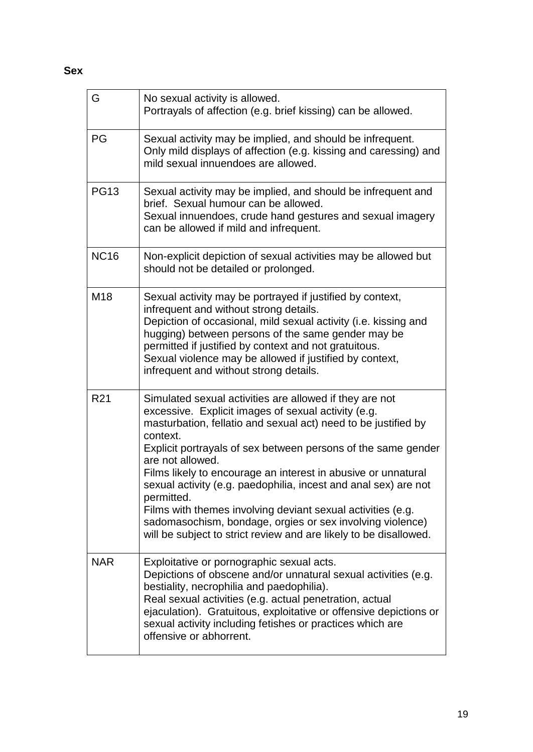| G               | No sexual activity is allowed.<br>Portrayals of affection (e.g. brief kissing) can be allowed.                                                                                                                                                                                                                                                                                                                                                                                                                                                                                                                                       |
|-----------------|--------------------------------------------------------------------------------------------------------------------------------------------------------------------------------------------------------------------------------------------------------------------------------------------------------------------------------------------------------------------------------------------------------------------------------------------------------------------------------------------------------------------------------------------------------------------------------------------------------------------------------------|
| PG              | Sexual activity may be implied, and should be infrequent.<br>Only mild displays of affection (e.g. kissing and caressing) and<br>mild sexual innuendoes are allowed.                                                                                                                                                                                                                                                                                                                                                                                                                                                                 |
| <b>PG13</b>     | Sexual activity may be implied, and should be infrequent and<br>brief. Sexual humour can be allowed.<br>Sexual innuendoes, crude hand gestures and sexual imagery<br>can be allowed if mild and infrequent.                                                                                                                                                                                                                                                                                                                                                                                                                          |
| <b>NC16</b>     | Non-explicit depiction of sexual activities may be allowed but<br>should not be detailed or prolonged.                                                                                                                                                                                                                                                                                                                                                                                                                                                                                                                               |
| M18             | Sexual activity may be portrayed if justified by context,<br>infrequent and without strong details.<br>Depiction of occasional, mild sexual activity (i.e. kissing and<br>hugging) between persons of the same gender may be<br>permitted if justified by context and not gratuitous.<br>Sexual violence may be allowed if justified by context,<br>infrequent and without strong details.                                                                                                                                                                                                                                           |
| R <sub>21</sub> | Simulated sexual activities are allowed if they are not<br>excessive. Explicit images of sexual activity (e.g.<br>masturbation, fellatio and sexual act) need to be justified by<br>context.<br>Explicit portrayals of sex between persons of the same gender<br>are not allowed.<br>Films likely to encourage an interest in abusive or unnatural<br>sexual activity (e.g. paedophilia, incest and anal sex) are not<br>permitted.<br>Films with themes involving deviant sexual activities (e.g.<br>sadomasochism, bondage, orgies or sex involving violence)<br>will be subject to strict review and are likely to be disallowed. |
| <b>NAR</b>      | Exploitative or pornographic sexual acts.<br>Depictions of obscene and/or unnatural sexual activities (e.g.<br>bestiality, necrophilia and paedophilia).<br>Real sexual activities (e.g. actual penetration, actual<br>ejaculation). Gratuitous, exploitative or offensive depictions or<br>sexual activity including fetishes or practices which are<br>offensive or abhorrent.                                                                                                                                                                                                                                                     |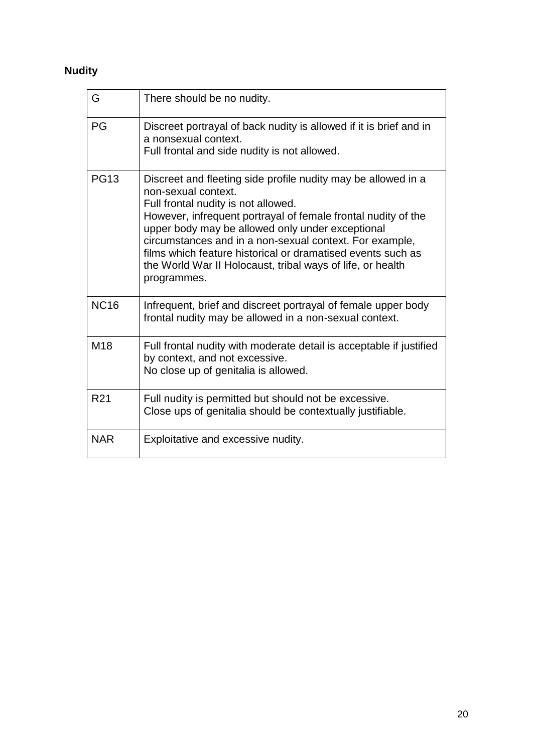# **Nudity**

| G               | There should be no nudity.                                                                                                                                                                                                                                                                                                                                                                                                                              |
|-----------------|---------------------------------------------------------------------------------------------------------------------------------------------------------------------------------------------------------------------------------------------------------------------------------------------------------------------------------------------------------------------------------------------------------------------------------------------------------|
| PG              | Discreet portrayal of back nudity is allowed if it is brief and in<br>a nonsexual context.<br>Full frontal and side nudity is not allowed.                                                                                                                                                                                                                                                                                                              |
| <b>PG13</b>     | Discreet and fleeting side profile nudity may be allowed in a<br>non-sexual context.<br>Full frontal nudity is not allowed.<br>However, infrequent portrayal of female frontal nudity of the<br>upper body may be allowed only under exceptional<br>circumstances and in a non-sexual context. For example,<br>films which feature historical or dramatised events such as<br>the World War II Holocaust, tribal ways of life, or health<br>programmes. |
| <b>NC16</b>     | Infrequent, brief and discreet portrayal of female upper body<br>frontal nudity may be allowed in a non-sexual context.                                                                                                                                                                                                                                                                                                                                 |
| M <sub>18</sub> | Full frontal nudity with moderate detail is acceptable if justified<br>by context, and not excessive.<br>No close up of genitalia is allowed.                                                                                                                                                                                                                                                                                                           |
| R <sub>21</sub> | Full nudity is permitted but should not be excessive.<br>Close ups of genitalia should be contextually justifiable.                                                                                                                                                                                                                                                                                                                                     |
| <b>NAR</b>      | Exploitative and excessive nudity.                                                                                                                                                                                                                                                                                                                                                                                                                      |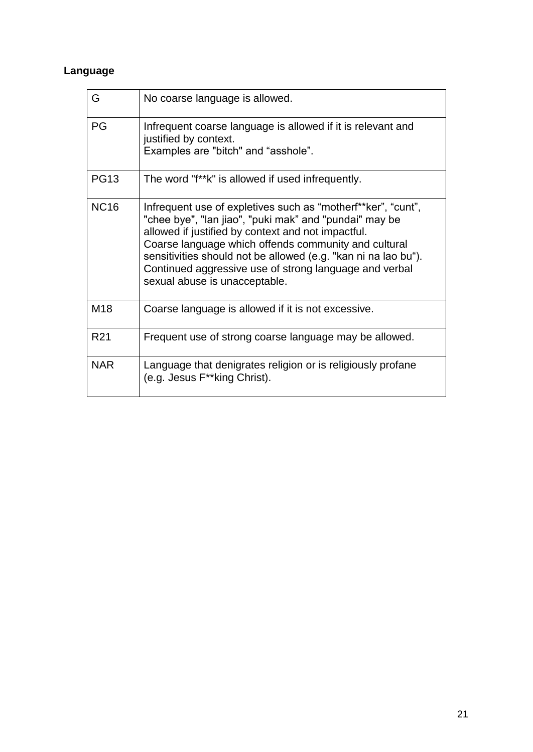# **Language**

| G               | No coarse language is allowed.                                                                                                                                                                                                                                                                                                                                                                    |
|-----------------|---------------------------------------------------------------------------------------------------------------------------------------------------------------------------------------------------------------------------------------------------------------------------------------------------------------------------------------------------------------------------------------------------|
| PG              | Infrequent coarse language is allowed if it is relevant and<br>justified by context.<br>Examples are "bitch" and "asshole".                                                                                                                                                                                                                                                                       |
| <b>PG13</b>     | The word "f**k" is allowed if used infrequently.                                                                                                                                                                                                                                                                                                                                                  |
| <b>NC16</b>     | Infrequent use of expletives such as "motherf**ker", "cunt",<br>"chee bye", "lan jiao", "puki mak" and "pundai" may be<br>allowed if justified by context and not impactful.<br>Coarse language which offends community and cultural<br>sensitivities should not be allowed (e.g. "kan ni na lao bu").<br>Continued aggressive use of strong language and verbal<br>sexual abuse is unacceptable. |
| M <sub>18</sub> | Coarse language is allowed if it is not excessive.                                                                                                                                                                                                                                                                                                                                                |
| R <sub>21</sub> | Frequent use of strong coarse language may be allowed.                                                                                                                                                                                                                                                                                                                                            |
| <b>NAR</b>      | Language that denigrates religion or is religiously profane<br>(e.g. Jesus F**king Christ).                                                                                                                                                                                                                                                                                                       |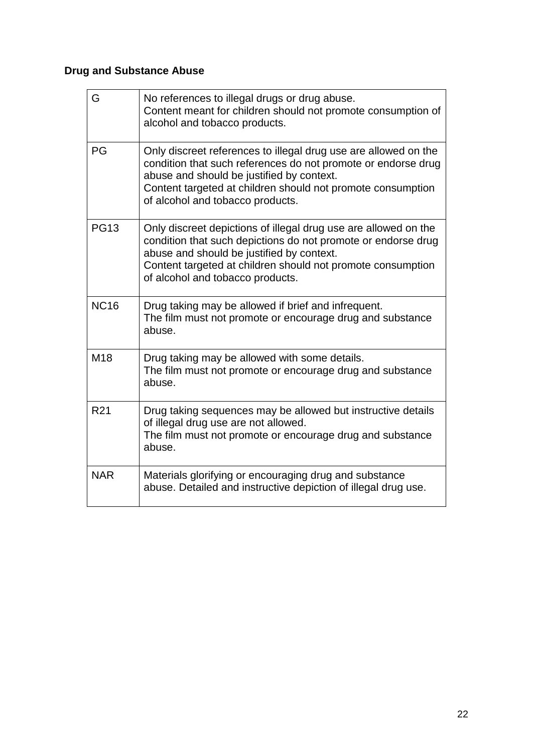# **Drug and Substance Abuse**

| G               | No references to illegal drugs or drug abuse.<br>Content meant for children should not promote consumption of<br>alcohol and tobacco products.                                                                                                                                   |
|-----------------|----------------------------------------------------------------------------------------------------------------------------------------------------------------------------------------------------------------------------------------------------------------------------------|
| PG              | Only discreet references to illegal drug use are allowed on the<br>condition that such references do not promote or endorse drug<br>abuse and should be justified by context.<br>Content targeted at children should not promote consumption<br>of alcohol and tobacco products. |
| <b>PG13</b>     | Only discreet depictions of illegal drug use are allowed on the<br>condition that such depictions do not promote or endorse drug<br>abuse and should be justified by context.<br>Content targeted at children should not promote consumption<br>of alcohol and tobacco products. |
| <b>NC16</b>     | Drug taking may be allowed if brief and infrequent.<br>The film must not promote or encourage drug and substance<br>abuse.                                                                                                                                                       |
| M <sub>18</sub> | Drug taking may be allowed with some details.<br>The film must not promote or encourage drug and substance<br>abuse.                                                                                                                                                             |
| R <sub>21</sub> | Drug taking sequences may be allowed but instructive details<br>of illegal drug use are not allowed.<br>The film must not promote or encourage drug and substance<br>abuse.                                                                                                      |
| <b>NAR</b>      | Materials glorifying or encouraging drug and substance<br>abuse. Detailed and instructive depiction of illegal drug use.                                                                                                                                                         |